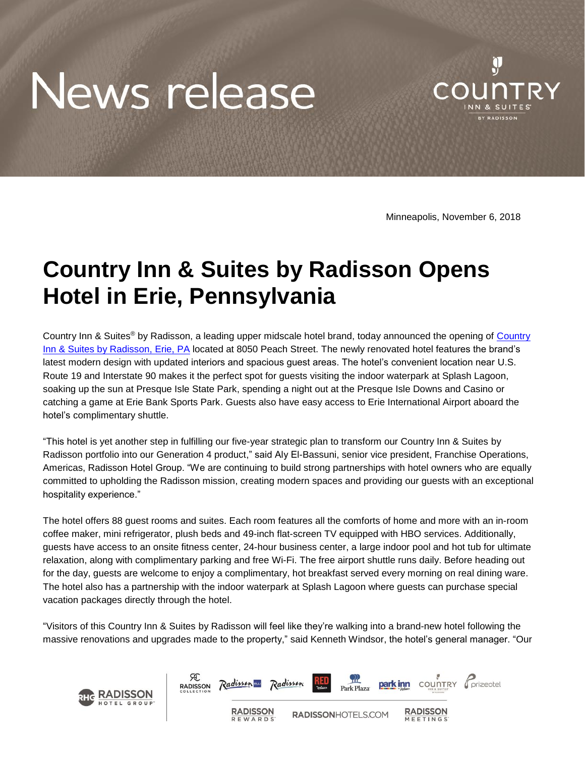## News release



Minneapolis, November 6, 2018

## **Country Inn & Suites by Radisson Opens Hotel in Erie, Pennsylvania**

Country Inn & Suites<sup>®</sup> by Radisson, a leading upper midscale hotel brand, today announced the opening of Country [Inn & Suites by Radisson, Erie, PA](https://www.countryinns.com/erie-hotel-pa-16509/usaerpa) located at 8050 Peach Street. The newly renovated hotel features the brand's latest modern design with updated interiors and spacious guest areas. The hotel's convenient location near U.S. Route 19 and Interstate 90 makes it the perfect spot for guests visiting the indoor waterpark at Splash Lagoon, soaking up the sun at Presque Isle State Park, spending a night out at the Presque Isle Downs and Casino or catching a game at Erie Bank Sports Park. Guests also have easy access to Erie International Airport aboard the hotel's complimentary shuttle.

"This hotel is yet another step in fulfilling our five-year strategic plan to transform our Country Inn & Suites by Radisson portfolio into our Generation 4 product," said Aly El-Bassuni, senior vice president, Franchise Operations, Americas, Radisson Hotel Group. "We are continuing to build strong partnerships with hotel owners who are equally committed to upholding the Radisson mission, creating modern spaces and providing our guests with an exceptional hospitality experience."

The hotel offers 88 guest rooms and suites. Each room features all the comforts of home and more with an in-room coffee maker, mini refrigerator, plush beds and 49-inch flat-screen TV equipped with HBO services. Additionally, guests have access to an onsite fitness center, 24-hour business center, a large indoor pool and hot tub for ultimate relaxation, along with complimentary parking and free Wi-Fi. The free airport shuttle runs daily. Before heading out for the day, guests are welcome to enjoy a complimentary, hot breakfast served every morning on real dining ware. The hotel also has a partnership with the indoor waterpark at Splash Lagoon where guests can purchase special vacation packages directly through the hotel.

"Visitors of this Country Inn & Suites by Radisson will feel like they're walking into a brand-new hotel following the massive renovations and upgrades made to the property," said Kenneth Windsor, the hotel's general manager. "Our